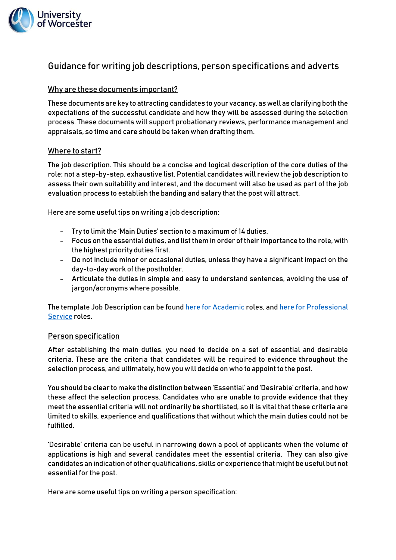

# Guidance for writing job descriptions, person specifications and adverts

## Why are these documents important?

These documents are key to attracting candidates to your vacancy, as well as clarifying both the expectations of the successful candidate and how they will be assessed during the selection process. These documents will support probationary reviews, performance management and appraisals, so time and care should be taken when drafting them.

### Where to start?

The job description. This should be a concise and logical description of the core duties of the role; not a step-by-step, exhaustive list. Potential candidates will review the job description to assess their own suitability and interest, and the document will also be used as part of the job evaluation process to establish the banding and salary that the post will attract.

Here are some useful tips on writing a job description:

- Try to limit the 'Main Duties' section to a maximum of 14 duties.
- Focus on the essential duties, and list them in order of their importance to the role, with the highest priority duties first.
- Do not include minor or occasional duties, unless they have a significant impact on the day-to-day work of the postholder.
- Articulate the duties in simple and easy to understand sentences, avoiding the use of jargon/acronyms where possible.

The template Job Description can be found here [for Academic](https://www2.worc.ac.uk/personnel/documents/Academic_JD_Template.docx) roles, and here for Professional [Service](https://www2.worc.ac.uk/personnel/documents/Prof._Serv._JD_Template.docx) roles.

#### Person specification

After establishing the main duties, you need to decide on a set of essential and desirable criteria. These are the criteria that candidates will be required to evidence throughout the selection process, and ultimately, how you will decide on who to appoint to the post.

You should be clear to make the distinction between 'Essential' and 'Desirable' criteria, and how these affect the selection process. Candidates who are unable to provide evidence that they meet the essential criteria will not ordinarily be shortlisted, so it is vital that these criteria are limited to skills, experience and qualifications that without which the main duties could not be fulfilled.

'Desirable' criteria can be useful in narrowing down a pool of applicants when the volume of applications is high and several candidates meet the essential criteria. They can also give candidates an indication of other qualifications, skills or experience that might be useful but not essential for the post.

Here are some useful tips on writing a person specification: